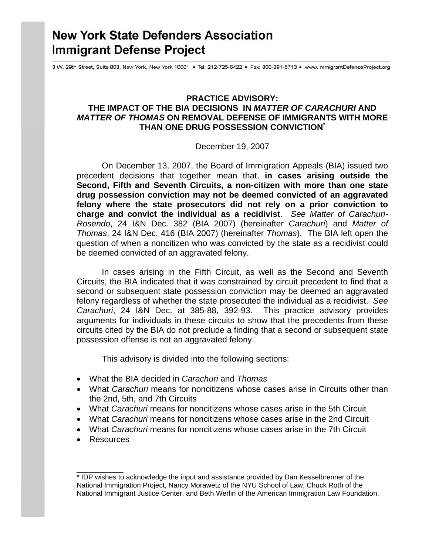# **New York State Defenders Association Immigrant Defense Project**

3 W. 29th Street, Suite 803, New York, New York 10001 . Tel: 212-725-6422 . Fax: 800-391-5713 . www.ImmigrantDefenseProject.org

# **PRACTICE ADVISORY: THE IMPACT OF THE BIA DECISIONS IN** *MATTER OF CARACHURI* **AND**  *MATTER OF THOMAS* **ON REMOVAL DEFENSE OF IMMIGRANTS WITH MORE THAN ONE DRUG POSSESSION CONVICTION\***

#### December 19, 2007

On December 13, 2007, the Board of Immigration Appeals (BIA) issued two precedent decisions that together mean that, **in cases arising outside the Second, Fifth and Seventh Circuits, a non-citizen with more than one state drug possession conviction may not be deemed convicted of an aggravated felony where the state prosecutors did not rely on a prior conviction to charge and convict the individual as a recidivist**. *See Matter of Carachuri-Rosendo*, 24 I&N Dec. 382 (BIA 2007) (hereinafter *Carachuri*) and *Matter of Thomas*, 24 I&N Dec. 416 (BIA 2007) (hereinafter *Thomas*). The BIA left open the question of when a noncitizen who was convicted by the state as a recidivist could be deemed convicted of an aggravated felony.

In cases arising in the Fifth Circuit, as well as the Second and Seventh Circuits, the BIA indicated that it was constrained by circuit precedent to find that a second or subsequent state possession conviction may be deemed an aggravated felony regardless of whether the state prosecuted the individual as a recidivist. *See Carachuri*, 24 I&N Dec. at 385-88, 392-93. This practice advisory provides arguments for individuals in these circuits to show that the precedents from these circuits cited by the BIA do not preclude a finding that a second or subsequent state possession offense is not an aggravated felony.

This advisory is divided into the following sections:

- What the BIA decided in *Carachuri* and *Thomas*
- What *Carachuri* means for noncitizens whose cases arise in Circuits other than the 2nd, 5th, and 7th Circuits
- What *Carachuri* means for noncitizens whose cases arise in the 5th Circuit
- What *Carachuri* means for noncitizens whose cases arise in the 2nd Circuit
- What *Carachuri* means for noncitizens whose cases arise in the 7th Circuit
- Resources

\_\_\_\_\_\_\_\_\_\_

<sup>\*</sup> IDP wishes to acknowledge the input and assistance provided by Dan Kesselbrenner of the National Immigration Project, Nancy Morawetz of the NYU School of Law, Chuck Roth of the National Immigrant Justice Center, and Beth Werlin of the American Immigration Law Foundation.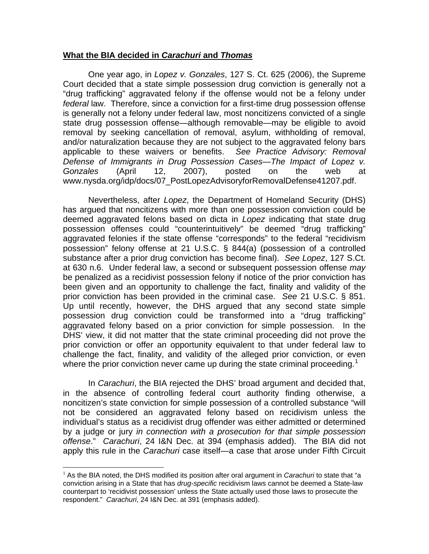## **What the BIA decided in** *Carachuri* **and** *Thomas*

One year ago, in *Lopez v. Gonzales*, 127 S. Ct. 625 (2006), the Supreme Court decided that a state simple possession drug conviction is generally not a "drug trafficking" aggravated felony if the offense would not be a felony under *federal* law. Therefore, since a conviction for a first-time drug possession offense is generally not a felony under federal law, most noncitizens convicted of a single state drug possession offense—although removable—may be eligible to avoid removal by seeking cancellation of removal, asylum, withholding of removal, and/or naturalization because they are not subject to the aggravated felony bars applicable to these waivers or benefits. *See Practice Advisory: Removal Defense of Immigrants in Drug Possession Cases—The Impact of Lopez v. Gonzales* (April 12, 2007), posted on the web at www.nysda.org/idp/docs/07\_PostLopezAdvisoryforRemovalDefense41207.pdf.

Nevertheless, after *Lopez*, the Department of Homeland Security (DHS) has argued that noncitizens with more than one possession conviction could be deemed aggravated felons based on dicta in *Lopez* indicating that state drug possession offenses could "counterintuitively" be deemed "drug trafficking" aggravated felonies if the state offense "corresponds" to the federal "recidivism possession" felony offense at 21 U.S.C. § 844(a) (possession of a controlled substance after a prior drug conviction has become final). *See Lopez*, 127 S.Ct. at 630 n.6. Under federal law, a second or subsequent possession offense *may* be penalized as a recidivist possession felony if notice of the prior conviction has been given and an opportunity to challenge the fact, finality and validity of the prior conviction has been provided in the criminal case. *See* 21 U.S.C. § 851. Up until recently, however, the DHS argued that any second state simple possession drug conviction could be transformed into a "drug trafficking" aggravated felony based on a prior conviction for simple possession. In the DHS' view, it did not matter that the state criminal proceeding did not prove the prior conviction or offer an opportunity equivalent to that under federal law to challenge the fact, finality, and validity of the alleged prior conviction, or even where the prior conviction never came up during the state criminal proceeding.<sup>[1](#page-1-0)</sup>

In *Carachuri*, the BIA rejected the DHS' broad argument and decided that, in the absence of controlling federal court authority finding otherwise, a noncitizen's state conviction for simple possession of a controlled substance "will not be considered an aggravated felony based on recidivism unless the individual's status as a recidivist drug offender was either admitted or determined by a judge or jury *in connection with a prosecution for that simple possession offense*." *Carachuri*, 24 I&N Dec. at 394 (emphasis added). The BIA did not apply this rule in the *Carachuri* case itself—a case that arose under Fifth Circuit

<span id="page-1-0"></span><sup>1</sup> As the BIA noted, the DHS modified its position after oral argument in *Carachuri* to state that "a conviction arising in a State that has *drug-specific* recidivism laws cannot be deemed a State-law counterpart to 'recidivist possession' unless the State actually used those laws to prosecute the respondent." *Carachuri*, 24 I&N Dec. at 391 (emphasis added).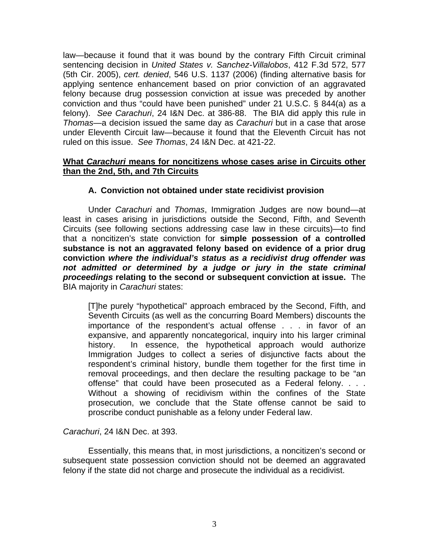law—because it found that it was bound by the contrary Fifth Circuit criminal sentencing decision in *United States v. Sanchez-Villalobos*, 412 F.3d 572, 577 (5th Cir. 2005), *cert. denied*, 546 U.S. 1137 (2006) (finding alternative basis for applying sentence enhancement based on prior conviction of an aggravated felony because drug possession conviction at issue was preceded by another conviction and thus "could have been punished" under 21 U.S.C. § 844(a) as a felony). *See Carachuri*, 24 I&N Dec. at 386-88. The BIA did apply this rule in *Thomas*—a decision issued the same day as *Carachuri* but in a case that arose under Eleventh Circuit law—because it found that the Eleventh Circuit has not ruled on this issue. *See Thomas*, 24 I&N Dec. at 421-22.

# **What** *Carachuri* **means for noncitizens whose cases arise in Circuits other than the 2nd, 5th, and 7th Circuits**

# **A. Conviction not obtained under state recidivist provision**

Under *Carachuri* and *Thomas*, Immigration Judges are now bound—at least in cases arising in jurisdictions outside the Second, Fifth, and Seventh Circuits (see following sections addressing case law in these circuits)—to find that a noncitizen's state conviction for **simple possession of a controlled substance is not an aggravated felony based on evidence of a prior drug conviction** *where the individual's status as a recidivist drug offender was not admitted or determined by a judge or jury in the state criminal proceedings* **relating to the second or subsequent conviction at issue.** The BIA majority in *Carachuri* states:

[T]he purely "hypothetical" approach embraced by the Second, Fifth, and Seventh Circuits (as well as the concurring Board Members) discounts the importance of the respondent's actual offense . . . in favor of an expansive, and apparently noncategorical, inquiry into his larger criminal history. In essence, the hypothetical approach would authorize Immigration Judges to collect a series of disjunctive facts about the respondent's criminal history, bundle them together for the first time in removal proceedings, and then declare the resulting package to be "an offense" that could have been prosecuted as a Federal felony. . . . Without a showing of recidivism within the confines of the State prosecution, we conclude that the State offense cannot be said to proscribe conduct punishable as a felony under Federal law.

*Carachuri*, 24 I&N Dec. at 393.

Essentially, this means that, in most jurisdictions, a noncitizen's second or subsequent state possession conviction should not be deemed an aggravated felony if the state did not charge and prosecute the individual as a recidivist.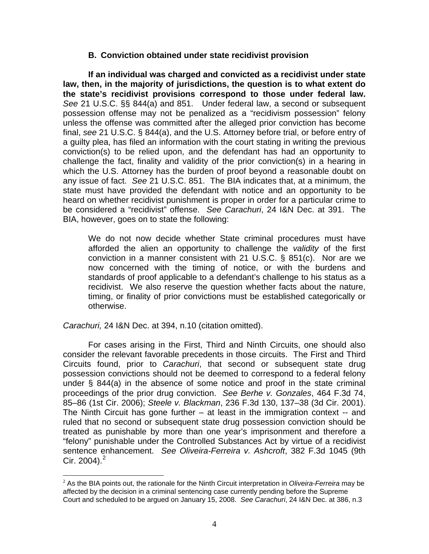#### **B. Conviction obtained under state recidivist provision**

**If an individual was charged and convicted as a recidivist under state law, then, in the majority of jurisdictions, the question is to what extent do the state's recidivist provisions correspond to those under federal law.** *See* 21 U.S.C. §§ 844(a) and 851. Under federal law, a second or subsequent possession offense may not be penalized as a "recidivism possession" felony unless the offense was committed after the alleged prior conviction has become final, *see* 21 U.S.C. § 844(a), and the U.S. Attorney before trial, or before entry of a guilty plea, has filed an information with the court stating in writing the previous conviction(s) to be relied upon, and the defendant has had an opportunity to challenge the fact, finality and validity of the prior conviction(s) in a hearing in which the U.S. Attorney has the burden of proof beyond a reasonable doubt on any issue of fact. *See* 21 U.S.C. 851. The BIA indicates that, at a minimum, the state must have provided the defendant with notice and an opportunity to be heard on whether recidivist punishment is proper in order for a particular crime to be considered a "recidivist" offense. *See Carachuri*, 24 I&N Dec. at 391. The BIA, however, goes on to state the following:

We do not now decide whether State criminal procedures must have afforded the alien an opportunity to challenge the *validity* of the first conviction in a manner consistent with 21 U.S.C. § 851(c). Nor are we now concerned with the timing of notice, or with the burdens and standards of proof applicable to a defendant's challenge to his status as a recidivist. We also reserve the question whether facts about the nature, timing, or finality of prior convictions must be established categorically or otherwise.

*Carachuri,* 24 I&N Dec. at 394, n.10 (citation omitted).

For cases arising in the First, Third and Ninth Circuits, one should also consider the relevant favorable precedents in those circuits. The First and Third Circuits found, prior to *Carachuri*, that second or subsequent state drug possession convictions should not be deemed to correspond to a federal felony under § 844(a) in the absence of some notice and proof in the state criminal proceedings of the prior drug conviction. *See Berhe v. Gonzales*, 464 F.3d 74, 85–86 (1st Cir. 2006); *Steele v. Blackman*, 236 F.3d 130, 137–38 (3d Cir. 2001). The Ninth Circuit has gone further – at least in the immigration context -- and ruled that no second or subsequent state drug possession conviction should be treated as punishable by more than one year's imprisonment and therefore a "felony" punishable under the Controlled Substances Act by virtue of a recidivist sentence enhancement. *See Oliveira-Ferreira v. Ashcroft*, 382 F.3d 1045 (9th Cir. [2](#page-3-0)004). $^{2}$ 

<span id="page-3-0"></span> $\overline{a}$ <sup>2</sup> As the BIA points out, the rationale for the Ninth Circuit interpretation in *Oliveira-Ferreira* may be affected by the decision in a criminal sentencing case currently pending before the Supreme Court and scheduled to be argued on January 15, 2008. *See Carachuri*, 24 I&N Dec. at 386, n.3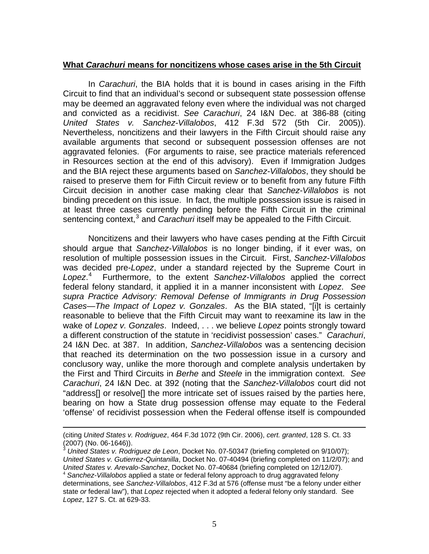# **What** *Carachuri* **means for noncitizens whose cases arise in the 5th Circuit**

 In *Carachuri*, the BIA holds that it is bound in cases arising in the Fifth Circuit to find that an individual's second or subsequent state possession offense may be deemed an aggravated felony even where the individual was not charged and convicted as a recidivist. *See Carachuri*, 24 I&N Dec. at 386-88 (citing *United States v. Sanchez-Villalobos*, 412 F.3d 572 (5th Cir. 2005)). Nevertheless, noncitizens and their lawyers in the Fifth Circuit should raise any available arguments that second or subsequent possession offenses are not aggravated felonies. (For arguments to raise, see practice materials referenced in Resources section at the end of this advisory). Even if Immigration Judges and the BIA reject these arguments based on *Sanchez-Villalobos*, they should be raised to preserve them for Fifth Circuit review or to benefit from any future Fifth Circuit decision in another case making clear that *Sanchez-Villalobos* is not binding precedent on this issue. In fact, the multiple possession issue is raised in at least three cases currently pending before the Fifth Circuit in the criminal sentencing context,<sup>[3](#page-4-0)</sup> and *Carachuri* itself may be appealed to the Fifth Circuit.

 Noncitizens and their lawyers who have cases pending at the Fifth Circuit should argue that *Sanchez-Villalobos* is no longer binding, if it ever was, on resolution of multiple possession issues in the Circuit. First, *Sanchez-Villalobos* was decided pre-*Lopez*, under a standard rejected by the Supreme Court in *Lopez*. [4](#page-4-1) Furthermore, to the extent *Sanchez-Villalobos* applied the correct federal felony standard, it applied it in a manner inconsistent with *Lopez*. *See supra Practice Advisory: Removal Defense of Immigrants in Drug Possession Cases—The Impact of Lopez v. Gonzales*. As the BIA stated, "[i]t is certainly reasonable to believe that the Fifth Circuit may want to reexamine its law in the wake of *Lopez v. Gonzales*. Indeed, . . . we believe *Lopez* points strongly toward a different construction of the statute in 'recidivist possession' cases." *Carachuri*, 24 I&N Dec. at 387. In addition, *Sanchez-Villalobos* was a sentencing decision that reached its determination on the two possession issue in a cursory and conclusory way, unlike the more thorough and complete analysis undertaken by the First and Third Circuits in *Berhe* and *Steele* in the immigration context. *See Carachuri*, 24 I&N Dec. at 392 (noting that the *Sanchez-Villalobos* court did not "address[] or resolve[] the more intricate set of issues raised by the parties here, bearing on how a State drug possession offense may equate to the Federal 'offense' of recidivist possession when the Federal offense itself is compounded

<sup>(</sup>citing *United States v. Rodriguez*, 464 F.3d 1072 (9th Cir. 2006), *cert. granted*, 128 S. Ct. 33 (2007) (No. 06-1646)).

<span id="page-4-1"></span><span id="page-4-0"></span><sup>3</sup> *United States v. Rodriguez de Leon*, Docket No. 07-50347 (briefing completed on 9/10/07); *United States v. Gutierrez-Quintanilla*, Docket No. 07-40494 (briefing completed on 11/2/07); and *United States v. Arevalo-Sanchez*, Docket No. 07-40684 (briefing completed on 12/12/07).<br><sup>4</sup> *Sanchez-Villalobos* applied a state or federal felony approach to drug aggravated felony determinations, see *Sanchez-Villalobos*, 412 F.3d at 576 (offense must "be a felony under either state *or* federal law"), that *Lopez* rejected when it adopted a federal felony only standard. See *Lopez*, 127 S. Ct. at 629-33.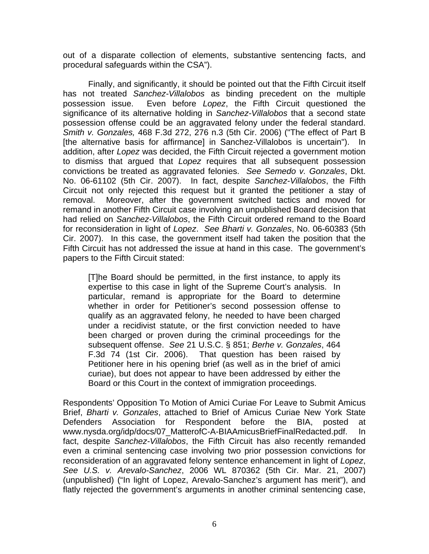out of a disparate collection of elements, substantive sentencing facts, and procedural safeguards within the CSA").

 Finally, and significantly, it should be pointed out that the Fifth Circuit itself has not treated *Sanchez-Villalobos* as binding precedent on the multiple possession issue. Even before *Lopez*, the Fifth Circuit questioned the significance of its alternative holding in *Sanchez-Villalobos* that a second state possession offense could be an aggravated felony under the federal standard. *Smith v. Gonzales,* 468 F.3d 272, 276 n.3 (5th Cir. 2006) ("The effect of Part B [the alternative basis for affirmance] in Sanchez-Villalobos is uncertain"). In addition, after *Lopez* was decided, the Fifth Circuit rejected a government motion to dismiss that argued that *Lopez* requires that all subsequent possession convictions be treated as aggravated felonies. *See Semedo v. Gonzales*, Dkt. No. 06-61102 (5th Cir. 2007). In fact, despite *Sanchez-Villalobos*, the Fifth Circuit not only rejected this request but it granted the petitioner a stay of removal. Moreover, after the government switched tactics and moved for remand in another Fifth Circuit case involving an unpublished Board decision that had relied on *Sanchez-Villalobos*, the Fifth Circuit ordered remand to the Board for reconsideration in light of *Lopez*. *See Bharti v. Gonzales*, No. 06-60383 (5th Cir. 2007). In this case, the government itself had taken the position that the Fifth Circuit has not addressed the issue at hand in this case. The government's papers to the Fifth Circuit stated:

[T]he Board should be permitted, in the first instance, to apply its expertise to this case in light of the Supreme Court's analysis. In particular, remand is appropriate for the Board to determine whether in order for Petitioner's second possession offense to qualify as an aggravated felony, he needed to have been charged under a recidivist statute, or the first conviction needed to have been charged or proven during the criminal proceedings for the subsequent offense. *See* 21 U.S.C. § 851; *Berhe v. Gonzales*, 464 F.3d 74 (1st Cir. 2006). That question has been raised by Petitioner here in his opening brief (as well as in the brief of amici curiae), but does not appear to have been addressed by either the Board or this Court in the context of immigration proceedings.

Respondents' Opposition To Motion of Amici Curiae For Leave to Submit Amicus Brief, *Bharti v. Gonzales*, attached to Brief of Amicus Curiae New York State Defenders Association for Respondent before the BIA, posted at www.nysda.org/idp/docs/07 MatterofC-A-BIAAmicusBriefFinalRedacted.pdf. In fact, despite *Sanchez-Villalobos*, the Fifth Circuit has also recently remanded even a criminal sentencing case involving two prior possession convictions for reconsideration of an aggravated felony sentence enhancement in light of *Lopez*, *See U.S. v. Arevalo-Sanchez*, 2006 WL 870362 (5th Cir. Mar. 21, 2007) (unpublished) ("In light of Lopez, Arevalo-Sanchez's argument has merit"), and flatly rejected the government's arguments in another criminal sentencing case,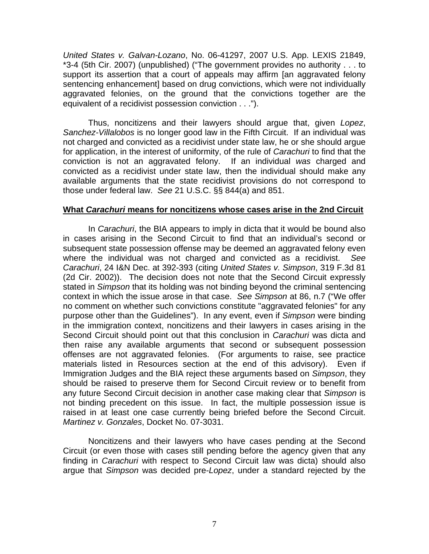*United States v. Galvan-Lozano*, No. 06-41297, 2007 U.S. App. LEXIS 21849, \*3-4 (5th Cir. 2007) (unpublished) ("The government provides no authority . . . to support its assertion that a court of appeals may affirm [an aggravated felony sentencing enhancement] based on drug convictions, which were not individually aggravated felonies, on the ground that the convictions together are the equivalent of a recidivist possession conviction . . .").

Thus, noncitizens and their lawyers should argue that, given *Lopez*, *Sanchez-Villalobos* is no longer good law in the Fifth Circuit. If an individual was not charged and convicted as a recidivist under state law, he or she should argue for application, in the interest of uniformity, of the rule of *Carachuri* to find that the conviction is not an aggravated felony. If an individual *was* charged and convicted as a recidivist under state law, then the individual should make any available arguments that the state recidivist provisions do not correspond to those under federal law. *See* 21 U.S.C. §§ 844(a) and 851.

#### **What** *Carachuri* **means for noncitizens whose cases arise in the 2nd Circuit**

In *Carachuri*, the BIA appears to imply in dicta that it would be bound also in cases arising in the Second Circuit to find that an individual's second or subsequent state possession offense may be deemed an aggravated felony even where the individual was not charged and convicted as a recidivist. *See Carachuri*, 24 I&N Dec. at 392-393 (citing *United States v. Simpson*, 319 F.3d 81 (2d Cir. 2002)). The decision does not note that the Second Circuit expressly stated in *Simpson* that its holding was not binding beyond the criminal sentencing context in which the issue arose in that case. *See Simpson* at 86, n.7 ("We offer no comment on whether such convictions constitute "aggravated felonies" for any purpose other than the Guidelines"). In any event, even if *Simpson* were binding in the immigration context, noncitizens and their lawyers in cases arising in the Second Circuit should point out that this conclusion in *Carachuri* was dicta and then raise any available arguments that second or subsequent possession offenses are not aggravated felonies. (For arguments to raise, see practice materials listed in Resources section at the end of this advisory). Even if Immigration Judges and the BIA reject these arguments based on *Simpson*, they should be raised to preserve them for Second Circuit review or to benefit from any future Second Circuit decision in another case making clear that *Simpson* is not binding precedent on this issue. In fact, the multiple possession issue is raised in at least one case currently being briefed before the Second Circuit. *Martinez v. Gonzales*, Docket No. 07-3031.

 Noncitizens and their lawyers who have cases pending at the Second Circuit (or even those with cases still pending before the agency given that any finding in *Carachuri* with respect to Second Circuit law was dicta) should also argue that *Simpson* was decided pre-*Lopez*, under a standard rejected by the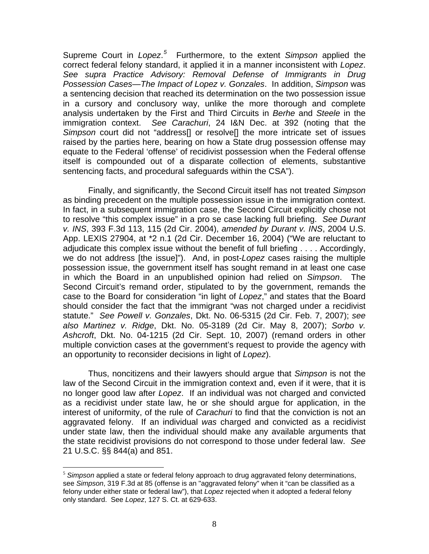Supreme Court in *Lopez*. *[5](#page-7-0)* Furthermore, to the extent *Simpson* applied the correct federal felony standard, it applied it in a manner inconsistent with *Lopez*. *See supra Practice Advisory: Removal Defense of Immigrants in Drug Possession Cases—The Impact of Lopez v. Gonzales*. In addition, *Simpson* was a sentencing decision that reached its determination on the two possession issue in a cursory and conclusory way, unlike the more thorough and complete analysis undertaken by the First and Third Circuits in *Berhe* and *Steele* in the immigration context. *See Carachuri*, 24 I&N Dec. at 392 (noting that the *Simpson* court did not "address[] or resolve[] the more intricate set of issues raised by the parties here, bearing on how a State drug possession offense may equate to the Federal 'offense' of recidivist possession when the Federal offense itself is compounded out of a disparate collection of elements, substantive sentencing facts, and procedural safeguards within the CSA").

Finally, and significantly, the Second Circuit itself has not treated *Simpson* as binding precedent on the multiple possession issue in the immigration context. In fact, in a subsequent immigration case, the Second Circuit explicitly chose not to resolve "this complex issue" in a pro se case lacking full briefing. *See Durant v. INS*, 393 F.3d 113, 115 (2d Cir. 2004), *amended by Durant v. INS*, 2004 U.S. App. LEXIS 27904, at \*2 n.1 (2d Cir. December 16, 2004) ("We are reluctant to adjudicate this complex issue without the benefit of full briefing . . . . Accordingly, we do not address [the issue]"). And, in post-*Lopez* cases raising the multiple possession issue, the government itself has sought remand in at least one case in which the Board in an unpublished opinion had relied on *Simpson*. The Second Circuit's remand order, stipulated to by the government, remands the case to the Board for consideration "in light of *Lopez*," and states that the Board should consider the fact that the immigrant "was not charged under a recidivist statute." *See Powell v. Gonzales*, Dkt. No. 06-5315 (2d Cir. Feb. 7, 2007); *see also Martinez v. Ridge*, Dkt. No. 05-3189 (2d Cir. May 8, 2007); *Sorbo v. Ashcroft*, Dkt. No. 04-1215 (2d Cir. Sept. 10, 2007) (remand orders in other multiple conviction cases at the government's request to provide the agency with an opportunity to reconsider decisions in light of *Lopez*).

Thus, noncitizens and their lawyers should argue that *Simpson* is not the law of the Second Circuit in the immigration context and, even if it were, that it is no longer good law after *Lopez*. If an individual was not charged and convicted as a recidivist under state law, he or she should argue for application, in the interest of uniformity, of the rule of *Carachuri* to find that the conviction is not an aggravated felony. If an individual *was* charged and convicted as a recidivist under state law, then the individual should make any available arguments that the state recidivist provisions do not correspond to those under federal law. *See* 21 U.S.C. §§ 844(a) and 851.

<span id="page-7-0"></span><sup>5</sup> *Simpson* applied a state or federal felony approach to drug aggravated felony determinations, see *Simpson*, 319 F.3d at 85 (offense is an "aggravated felony" when it "can be classified as a felony under either state or federal law"), that *Lopez* rejected when it adopted a federal felony only standard. See *Lopez*, 127 S. Ct. at 629-633.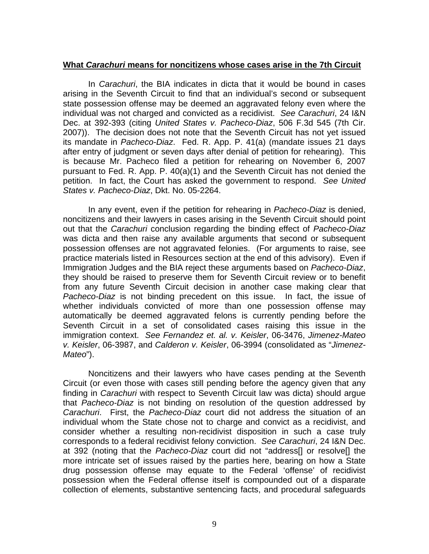## **What** *Carachuri* **means for noncitizens whose cases arise in the 7th Circuit**

In *Carachuri*, the BIA indicates in dicta that it would be bound in cases arising in the Seventh Circuit to find that an individual's second or subsequent state possession offense may be deemed an aggravated felony even where the individual was not charged and convicted as a recidivist. *See Carachuri*, 24 I&N Dec. at 392-393 (citing *United States v. Pacheco-Diaz*, 506 F.3d 545 (7th Cir. 2007)). The decision does not note that the Seventh Circuit has not yet issued its mandate in *Pacheco-Diaz*. Fed. R. App. P. 41(a) (mandate issues 21 days after entry of judgment or seven days after denial of petition for rehearing). This is because Mr. Pacheco filed a petition for rehearing on November 6, 2007 pursuant to Fed. R. App. P. 40(a)(1) and the Seventh Circuit has not denied the petition. In fact, the Court has asked the government to respond. *See United States v. Pacheco-Diaz*, Dkt. No. 05-2264.

In any event, even if the petition for rehearing in *Pacheco-Diaz* is denied, noncitizens and their lawyers in cases arising in the Seventh Circuit should point out that the *Carachuri* conclusion regarding the binding effect of *Pacheco-Diaz* was dicta and then raise any available arguments that second or subsequent possession offenses are not aggravated felonies. (For arguments to raise, see practice materials listed in Resources section at the end of this advisory). Even if Immigration Judges and the BIA reject these arguments based on *Pacheco-Diaz*, they should be raised to preserve them for Seventh Circuit review or to benefit from any future Seventh Circuit decision in another case making clear that *Pacheco-Diaz* is not binding precedent on this issue. In fact, the issue of whether individuals convicted of more than one possession offense may automatically be deemed aggravated felons is currently pending before the Seventh Circuit in a set of consolidated cases raising this issue in the immigration context. *See Fernandez et. al. v. Keisler*, 06-3476, *Jimenez-Mateo v. Keisler*, 06-3987, and *Calderon v. Keisler*, 06-3994 (consolidated as "*Jimenez-Mateo*").

Noncitizens and their lawyers who have cases pending at the Seventh Circuit (or even those with cases still pending before the agency given that any finding in *Carachuri* with respect to Seventh Circuit law was dicta) should argue that *Pacheco-Diaz* is not binding on resolution of the question addressed by *Carachuri*. First, the *Pacheco-Diaz* court did not address the situation of an individual whom the State chose not to charge and convict as a recidivist, and consider whether a resulting non-recidivist disposition in such a case truly corresponds to a federal recidivist felony conviction. *See Carachuri*, 24 I&N Dec. at 392 (noting that the *Pacheco-Diaz* court did not "address[] or resolve[] the more intricate set of issues raised by the parties here, bearing on how a State drug possession offense may equate to the Federal 'offense' of recidivist possession when the Federal offense itself is compounded out of a disparate collection of elements, substantive sentencing facts, and procedural safeguards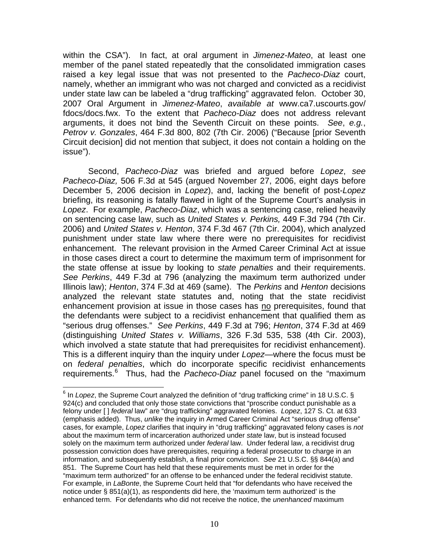within the CSA"). In fact, at oral argument in *Jimenez-Mateo*, at least one member of the panel stated repeatedly that the consolidated immigration cases raised a key legal issue that was not presented to the *Pacheco*-*Diaz* court, namely, whether an immigrant who was not charged and convicted as a recidivist under state law can be labeled a "drug trafficking" aggravated felon. October 30, 2007 Oral Argument in *Jimenez-Mateo*, *available at* www.ca7.uscourts.gov/ fdocs/docs.fwx. To the extent that *Pacheco-Diaz* does not address relevant arguments, it does not bind the Seventh Circuit on these points. *See*, *e.g.*, *Petrov v. Gonzales*, 464 F.3d 800, 802 (7th Cir. 2006) ("Because [prior Seventh Circuit decision] did not mention that subject, it does not contain a holding on the issue").

Second, *Pacheco-Diaz* was briefed and argued before *Lopez*, *see Pacheco-Diaz,* 506 F.3d at 545 (argued November 27, 2006, eight days before December 5, 2006 decision in *Lopez*), and, lacking the benefit of post-*Lopez* briefing, its reasoning is fatally flawed in light of the Supreme Court's analysis in *Lopez*. For example, *Pacheco-Diaz*, which was a sentencing case, relied heavily on sentencing case law, such as *United States v. Perkins,* 449 F.3d 794 (7th Cir. 2006) and *United States v. Henton*, 374 F.3d 467 (7th Cir. 2004), which analyzed punishment under state law where there were no prerequisites for recidivist enhancement. The relevant provision in the Armed Career Criminal Act at issue in those cases direct a court to determine the maximum term of imprisonment for the state offense at issue by looking to *state penalties* and their requirements. *See Perkins*, 449 F.3d at 796 (analyzing the maximum term authorized under Illinois law); *Henton*, 374 F.3d at 469 (same). The *Perkins* and *Henton* decisions analyzed the relevant state statutes and, noting that the state recidivist enhancement provision at issue in those cases has no prerequisites, found that the defendants were subject to a recidivist enhancement that qualified them as "serious drug offenses." *See Perkins*, 449 F.3d at 796; *Henton*, 374 F.3d at 469 (distinguishing *United States v. Williams*, 326 F.3d 535, 538 (4th Cir. 2003), which involved a state statute that had prerequisites for recidivist enhancement). This is a different inquiry than the inquiry under *Lopez*—where the focus must be on *federal penalties*, which do incorporate specific recidivist enhancements requirements.<sup>[6](#page-9-0)</sup> Thus, had the *Pacheco-Diaz* panel focused on the "maximum

<span id="page-9-0"></span><sup>&</sup>lt;sup>6</sup> In Lopez, the Supreme Court analyzed the definition of "drug trafficking crime" in 18 U.S.C. § 924(c) and concluded that only those state convictions that "proscribe conduct punishable as a felony under [ ] *federal* law" are "drug trafficking" aggravated felonies. *Lopez*, 127 S. Ct. at 633 (emphasis added). Thus, *unlike* the inquiry in Armed Career Criminal Act "serious drug offense" cases, for example, *Lopez* clarifies that inquiry in "drug trafficking" aggravated felony cases is *not* about the maximum term of incarceration authorized under *state* law, but is instead focused solely on the maximum term authorized under *federal* law. Under federal law, a recidivist drug possession conviction does have prerequisites, requiring a federal prosecutor to charge in an information, and subsequently establish, a final prior conviction. *See* 21 U.S.C. §§ 844(a) and 851. The Supreme Court has held that these requirements must be met in order for the "maximum term authorized" for an offense to be enhanced under the federal recidivist statute. For example, in *LaBonte*, the Supreme Court held that "for defendants who have received the notice under  $\S$  851(a)(1), as respondents did here, the 'maximum term authorized' is the enhanced term. For defendants who did not receive the notice, the *unenhanced* maximum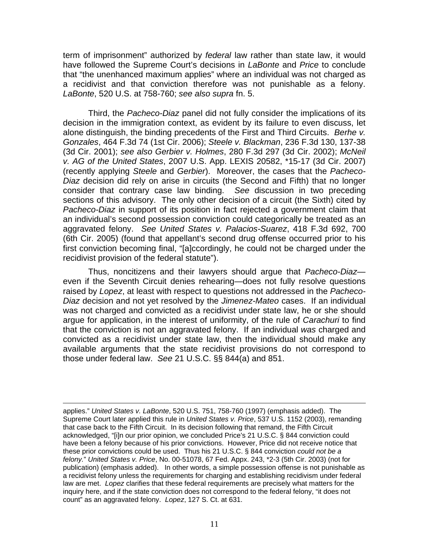term of imprisonment" authorized by *federal* law rather than state law, it would have followed the Supreme Court's decisions in *LaBonte* and *Price* to conclude that "the unenhanced maximum applies" where an individual was not charged as a recidivist and that conviction therefore was not punishable as a felony. *LaBonte*, 520 U.S. at 758-760; *see also supra* fn. 5.

 Third, the *Pacheco-Diaz* panel did not fully consider the implications of its decision in the immigration context, as evident by its failure to even discuss, let alone distinguish, the binding precedents of the First and Third Circuits. *Berhe v. Gonzales*, 464 F.3d 74 (1st Cir. 2006); *Steele v. Blackman*, 236 F.3d 130, 137-38 (3d Cir. 2001); *see also Gerbier v. Holmes*, 280 F.3d 297 (3d Cir. 2002); *McNeil v. AG of the United States*, 2007 U.S. App. LEXIS 20582, \*15-17 (3d Cir. 2007) (recently applying *Steele* and *Gerbier*). Moreover, the cases that the *Pacheco-Diaz* decision did rely on arise in circuits (the Second and Fifth) that no longer consider that contrary case law binding. *See* discussion in two preceding sections of this advisory. The only other decision of a circuit (the Sixth) cited by *Pacheco-Diaz* in support of its position in fact rejected a government claim that an individual's second possession conviction could categorically be treated as an aggravated felony. *See United States v. Palacios-Suarez*, 418 F.3d 692, 700 (6th Cir. 2005) (found that appellant's second drug offense occurred prior to his first conviction becoming final, "[a]ccordingly, he could not be charged under the recidivist provision of the federal statute").

Thus, noncitizens and their lawyers should argue that *Pacheco-Diaz* even if the Seventh Circuit denies rehearing—does not fully resolve questions raised by *Lopez*, at least with respect to questions not addressed in the *Pacheco-Diaz* decision and not yet resolved by the *Jimenez-Mateo* cases. If an individual was not charged and convicted as a recidivist under state law, he or she should argue for application, in the interest of uniformity, of the rule of *Carachuri* to find that the conviction is not an aggravated felony. If an individual *was* charged and convicted as a recidivist under state law, then the individual should make any available arguments that the state recidivist provisions do not correspond to those under federal law. *See* 21 U.S.C. §§ 844(a) and 851.

applies." *United States v. LaBonte*, 520 U.S. 751, 758-760 (1997) (emphasis added). The Supreme Court later applied this rule in *United States v. Price*, 537 U.S. 1152 (2003), remanding that case back to the Fifth Circuit. In its decision following that remand, the Fifth Circuit acknowledged, "[i]n our prior opinion, we concluded Price's 21 U.S.C. § 844 conviction could have been a felony because of his prior convictions. However, Price did not receive notice that these prior convictions could be used. Thus his 21 U.S.C. § 844 conviction *could not be a felony.*" *United States v. Price*, No. 00-51078, 67 Fed. Appx. 243, \*2-3 (5th Cir. 2003) (not for publication) (emphasis added). In other words, a simple possession offense is not punishable as a recidivist felony unless the requirements for charging and establishing recidivism under federal law are met. *Lopez* clarifies that these federal requirements are precisely what matters for the inquiry here, and if the state conviction does not correspond to the federal felony, "it does not count" as an aggravated felony. *Lopez*, 127 S. Ct. at 631.